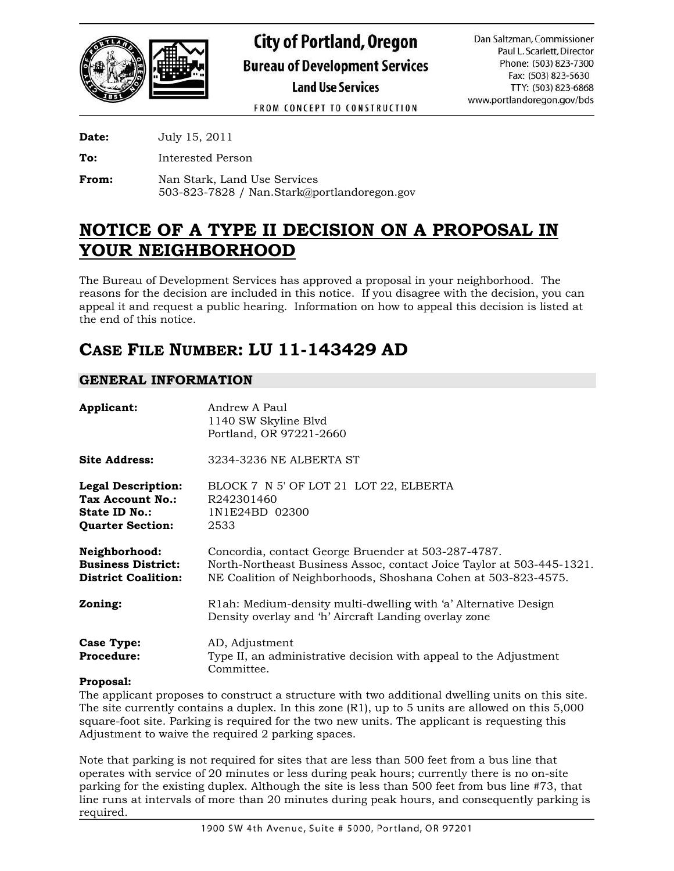

FROM CONCEPT TO CONSTRUCTION

**Date:** July 15, 2011

**To:** Interested Person

**From:** Nan Stark, Land Use Services 503-823-7828 / Nan.Stark@portlandoregon.gov

# **NOTICE OF A TYPE II DECISION ON A PROPOSAL IN YOUR NEIGHBORHOOD**

The Bureau of Development Services has approved a proposal in your neighborhood. The reasons for the decision are included in this notice. If you disagree with the decision, you can appeal it and request a public hearing. Information on how to appeal this decision is listed at the end of this notice.

# **CASE FILE NUMBER: LU 11-143429 AD**

## **GENERAL INFORMATION**

| Applicant:                                                                                | Andrew A Paul<br>1140 SW Skyline Blvd<br>Portland, OR 97221-2660                                                                                                                               |
|-------------------------------------------------------------------------------------------|------------------------------------------------------------------------------------------------------------------------------------------------------------------------------------------------|
| <b>Site Address:</b>                                                                      | 3234-3236 NE ALBERTA ST                                                                                                                                                                        |
| <b>Legal Description:</b><br>Tax Account No.:<br>State ID No.:<br><b>Quarter Section:</b> | BLOCK 7 N 5' OF LOT 21 LOT 22, ELBERTA<br>R242301460<br>1N1E24BD 02300<br>2533                                                                                                                 |
| Neighborhood:<br><b>Business District:</b><br><b>District Coalition:</b>                  | Concordia, contact George Bruender at 503-287-4787.<br>North-Northeast Business Assoc, contact Joice Taylor at 503-445-1321.<br>NE Coalition of Neighborhoods, Shoshana Cohen at 503-823-4575. |
| Zoning:                                                                                   | R1ah: Medium-density multi-dwelling with 'a' Alternative Design<br>Density overlay and 'h' Aircraft Landing overlay zone                                                                       |
| Case Type:<br>Procedure:                                                                  | AD, Adjustment<br>Type II, an administrative decision with appeal to the Adjustment<br>Committee.                                                                                              |

#### **Proposal:**

The applicant proposes to construct a structure with two additional dwelling units on this site. The site currently contains a duplex. In this zone (R1), up to 5 units are allowed on this 5,000 square-foot site. Parking is required for the two new units. The applicant is requesting this Adjustment to waive the required 2 parking spaces.

Note that parking is not required for sites that are less than 500 feet from a bus line that operates with service of 20 minutes or less during peak hours; currently there is no on-site parking for the existing duplex. Although the site is less than 500 feet from bus line #73, that line runs at intervals of more than 20 minutes during peak hours, and consequently parking is required.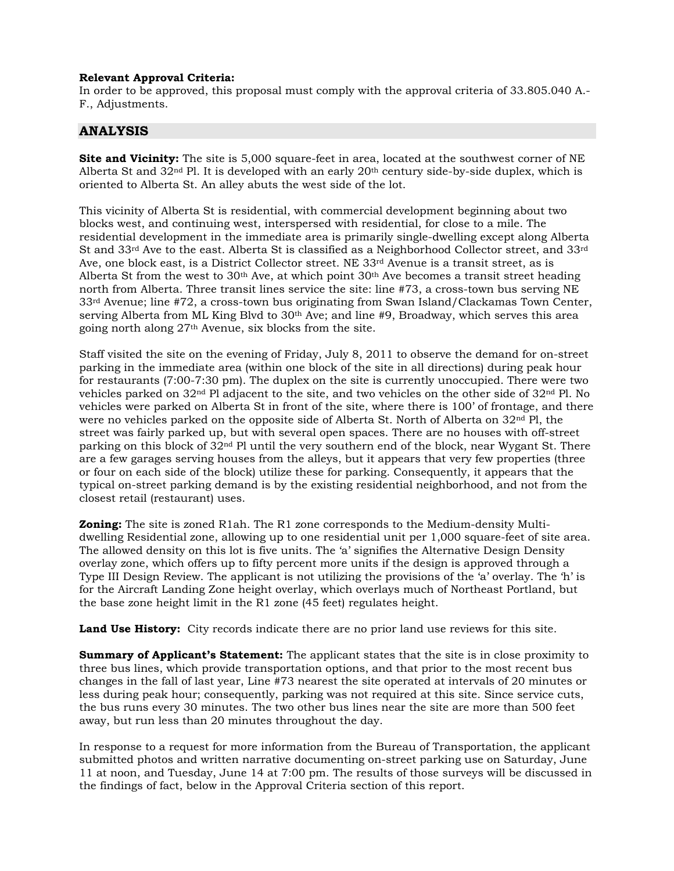#### **Relevant Approval Criteria:**

In order to be approved, this proposal must comply with the approval criteria of 33.805.040 A.- F., Adjustments.

#### **ANALYSIS**

**Site and Vicinity:** The site is 5,000 square-feet in area, located at the southwest corner of NE Alberta St and  $32<sup>nd</sup>$  Pl. It is developed with an early  $20<sup>th</sup>$  century side-by-side duplex, which is oriented to Alberta St. An alley abuts the west side of the lot.

This vicinity of Alberta St is residential, with commercial development beginning about two blocks west, and continuing west, interspersed with residential, for close to a mile. The residential development in the immediate area is primarily single-dwelling except along Alberta St and 33rd Ave to the east. Alberta St is classified as a Neighborhood Collector street, and 33rd Ave, one block east, is a District Collector street. NE 33rd Avenue is a transit street, as is Alberta St from the west to  $30<sup>th</sup>$  Ave, at which point  $30<sup>th</sup>$  Ave becomes a transit street heading north from Alberta. Three transit lines service the site: line #73, a cross-town bus serving NE  $33<sup>rd</sup>$  Avenue; line #72, a cross-town bus originating from Swan Island/Clackamas Town Center, serving Alberta from ML King Blvd to  $30<sup>th</sup>$  Ave; and line #9, Broadway, which serves this area going north along 27th Avenue, six blocks from the site.

Staff visited the site on the evening of Friday, July 8, 2011 to observe the demand for on-street parking in the immediate area (within one block of the site in all directions) during peak hour for restaurants (7:00-7:30 pm). The duplex on the site is currently unoccupied. There were two vehicles parked on 32nd Pl adjacent to the site, and two vehicles on the other side of 32nd Pl. No vehicles were parked on Alberta St in front of the site, where there is 100' of frontage, and there were no vehicles parked on the opposite side of Alberta St. North of Alberta on  $32<sup>nd</sup>$  Pl, the street was fairly parked up, but with several open spaces. There are no houses with off-street parking on this block of 32nd Pl until the very southern end of the block, near Wygant St. There are a few garages serving houses from the alleys, but it appears that very few properties (three or four on each side of the block) utilize these for parking. Consequently, it appears that the typical on-street parking demand is by the existing residential neighborhood, and not from the closest retail (restaurant) uses.

**Zoning:** The site is zoned R1ah. The R1 zone corresponds to the Medium-density Multidwelling Residential zone, allowing up to one residential unit per 1,000 square-feet of site area. The allowed density on this lot is five units. The 'a' signifies the Alternative Design Density overlay zone, which offers up to fifty percent more units if the design is approved through a Type III Design Review. The applicant is not utilizing the provisions of the 'a' overlay. The 'h' is for the Aircraft Landing Zone height overlay, which overlays much of Northeast Portland, but the base zone height limit in the R1 zone (45 feet) regulates height.

**Land Use History:** City records indicate there are no prior land use reviews for this site.

**Summary of Applicant's Statement:** The applicant states that the site is in close proximity to three bus lines, which provide transportation options, and that prior to the most recent bus changes in the fall of last year, Line #73 nearest the site operated at intervals of 20 minutes or less during peak hour; consequently, parking was not required at this site. Since service cuts, the bus runs every 30 minutes. The two other bus lines near the site are more than 500 feet away, but run less than 20 minutes throughout the day.

In response to a request for more information from the Bureau of Transportation, the applicant submitted photos and written narrative documenting on-street parking use on Saturday, June 11 at noon, and Tuesday, June 14 at 7:00 pm. The results of those surveys will be discussed in the findings of fact, below in the Approval Criteria section of this report.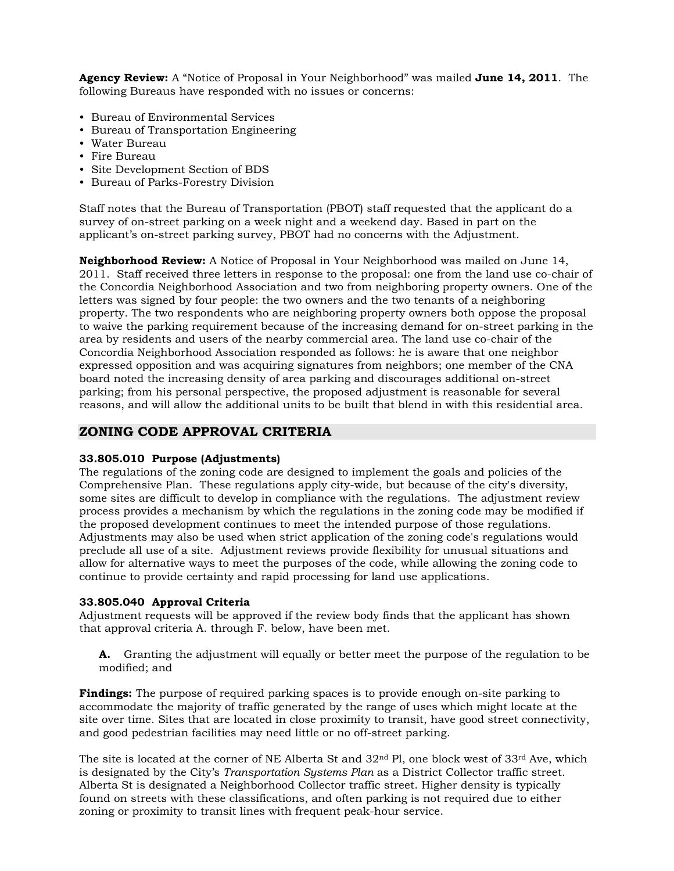**Agency Review:** A "Notice of Proposal in Your Neighborhood" was mailed **June 14, 2011**. The following Bureaus have responded with no issues or concerns:

- Bureau of Environmental Services
- Bureau of Transportation Engineering
- Water Bureau
- Fire Bureau
- Site Development Section of BDS
- Bureau of Parks-Forestry Division

Staff notes that the Bureau of Transportation (PBOT) staff requested that the applicant do a survey of on-street parking on a week night and a weekend day. Based in part on the applicant's on-street parking survey, PBOT had no concerns with the Adjustment.

**Neighborhood Review:** A Notice of Proposal in Your Neighborhood was mailed on June 14, 2011. Staff received three letters in response to the proposal: one from the land use co-chair of the Concordia Neighborhood Association and two from neighboring property owners. One of the letters was signed by four people: the two owners and the two tenants of a neighboring property. The two respondents who are neighboring property owners both oppose the proposal to waive the parking requirement because of the increasing demand for on-street parking in the area by residents and users of the nearby commercial area. The land use co-chair of the Concordia Neighborhood Association responded as follows: he is aware that one neighbor expressed opposition and was acquiring signatures from neighbors; one member of the CNA board noted the increasing density of area parking and discourages additional on-street parking; from his personal perspective, the proposed adjustment is reasonable for several reasons, and will allow the additional units to be built that blend in with this residential area.

### **ZONING CODE APPROVAL CRITERIA**

#### **33.805.010 Purpose (Adjustments)**

The regulations of the zoning code are designed to implement the goals and policies of the Comprehensive Plan. These regulations apply city-wide, but because of the city's diversity, some sites are difficult to develop in compliance with the regulations. The adjustment review process provides a mechanism by which the regulations in the zoning code may be modified if the proposed development continues to meet the intended purpose of those regulations. Adjustments may also be used when strict application of the zoning code's regulations would preclude all use of a site. Adjustment reviews provide flexibility for unusual situations and allow for alternative ways to meet the purposes of the code, while allowing the zoning code to continue to provide certainty and rapid processing for land use applications.

#### **33.805.040 Approval Criteria**

Adjustment requests will be approved if the review body finds that the applicant has shown that approval criteria A. through F. below, have been met.

**A.** Granting the adjustment will equally or better meet the purpose of the regulation to be modified; and

**Findings:** The purpose of required parking spaces is to provide enough on-site parking to accommodate the majority of traffic generated by the range of uses which might locate at the site over time. Sites that are located in close proximity to transit, have good street connectivity, and good pedestrian facilities may need little or no off-street parking.

The site is located at the corner of NE Alberta St and  $32<sup>nd</sup> Pl$ , one block west of  $33<sup>rd</sup>$  Ave, which is designated by the City's *Transportation Systems Plan* as a District Collector traffic street. Alberta St is designated a Neighborhood Collector traffic street. Higher density is typically found on streets with these classifications, and often parking is not required due to either zoning or proximity to transit lines with frequent peak-hour service.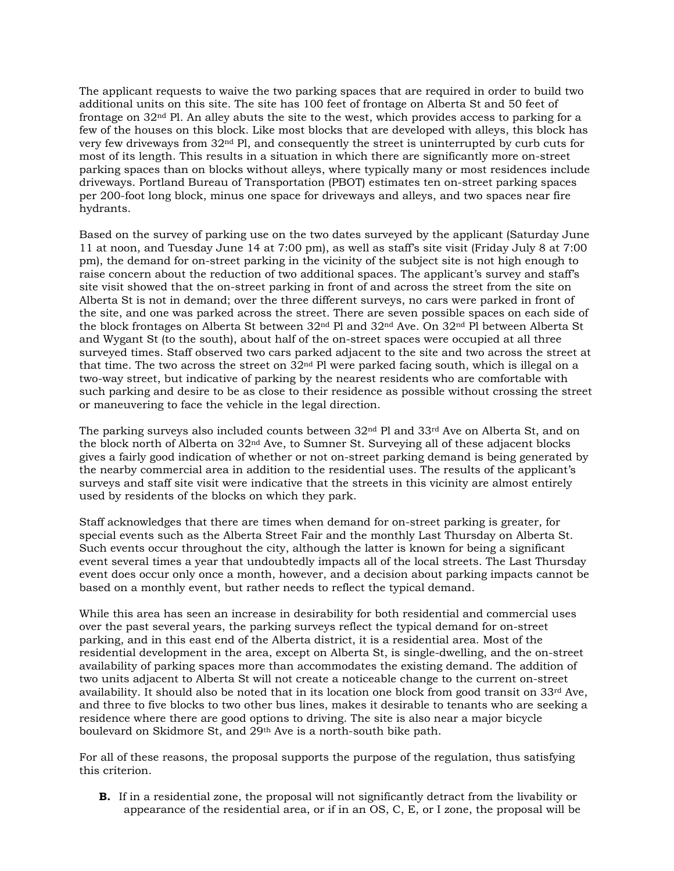The applicant requests to waive the two parking spaces that are required in order to build two additional units on this site. The site has 100 feet of frontage on Alberta St and 50 feet of frontage on 32nd Pl. An alley abuts the site to the west, which provides access to parking for a few of the houses on this block. Like most blocks that are developed with alleys, this block has very few driveways from 32nd Pl, and consequently the street is uninterrupted by curb cuts for most of its length. This results in a situation in which there are significantly more on-street parking spaces than on blocks without alleys, where typically many or most residences include driveways. Portland Bureau of Transportation (PBOT) estimates ten on-street parking spaces per 200-foot long block, minus one space for driveways and alleys, and two spaces near fire hydrants.

Based on the survey of parking use on the two dates surveyed by the applicant (Saturday June 11 at noon, and Tuesday June 14 at 7:00 pm), as well as staff's site visit (Friday July 8 at 7:00 pm), the demand for on-street parking in the vicinity of the subject site is not high enough to raise concern about the reduction of two additional spaces. The applicant's survey and staff's site visit showed that the on-street parking in front of and across the street from the site on Alberta St is not in demand; over the three different surveys, no cars were parked in front of the site, and one was parked across the street. There are seven possible spaces on each side of the block frontages on Alberta St between 32nd Pl and 32nd Ave. On 32nd Pl between Alberta St and Wygant St (to the south), about half of the on-street spaces were occupied at all three surveyed times. Staff observed two cars parked adjacent to the site and two across the street at that time. The two across the street on  $32<sup>nd</sup>$  Pl were parked facing south, which is illegal on a two-way street, but indicative of parking by the nearest residents who are comfortable with such parking and desire to be as close to their residence as possible without crossing the street or maneuvering to face the vehicle in the legal direction.

The parking surveys also included counts between  $32<sup>nd</sup>$  Pl and  $33<sup>rd</sup>$  Ave on Alberta St, and on the block north of Alberta on 32nd Ave, to Sumner St. Surveying all of these adjacent blocks gives a fairly good indication of whether or not on-street parking demand is being generated by the nearby commercial area in addition to the residential uses. The results of the applicant's surveys and staff site visit were indicative that the streets in this vicinity are almost entirely used by residents of the blocks on which they park.

Staff acknowledges that there are times when demand for on-street parking is greater, for special events such as the Alberta Street Fair and the monthly Last Thursday on Alberta St. Such events occur throughout the city, although the latter is known for being a significant event several times a year that undoubtedly impacts all of the local streets. The Last Thursday event does occur only once a month, however, and a decision about parking impacts cannot be based on a monthly event, but rather needs to reflect the typical demand.

While this area has seen an increase in desirability for both residential and commercial uses over the past several years, the parking surveys reflect the typical demand for on-street parking, and in this east end of the Alberta district, it is a residential area. Most of the residential development in the area, except on Alberta St, is single-dwelling, and the on-street availability of parking spaces more than accommodates the existing demand. The addition of two units adjacent to Alberta St will not create a noticeable change to the current on-street availability. It should also be noted that in its location one block from good transit on  $33<sup>rd</sup>$  Ave, and three to five blocks to two other bus lines, makes it desirable to tenants who are seeking a residence where there are good options to driving. The site is also near a major bicycle boulevard on Skidmore St, and 29th Ave is a north-south bike path.

For all of these reasons, the proposal supports the purpose of the regulation, thus satisfying this criterion.

**B.** If in a residential zone, the proposal will not significantly detract from the livability or appearance of the residential area, or if in an OS, C, E, or I zone, the proposal will be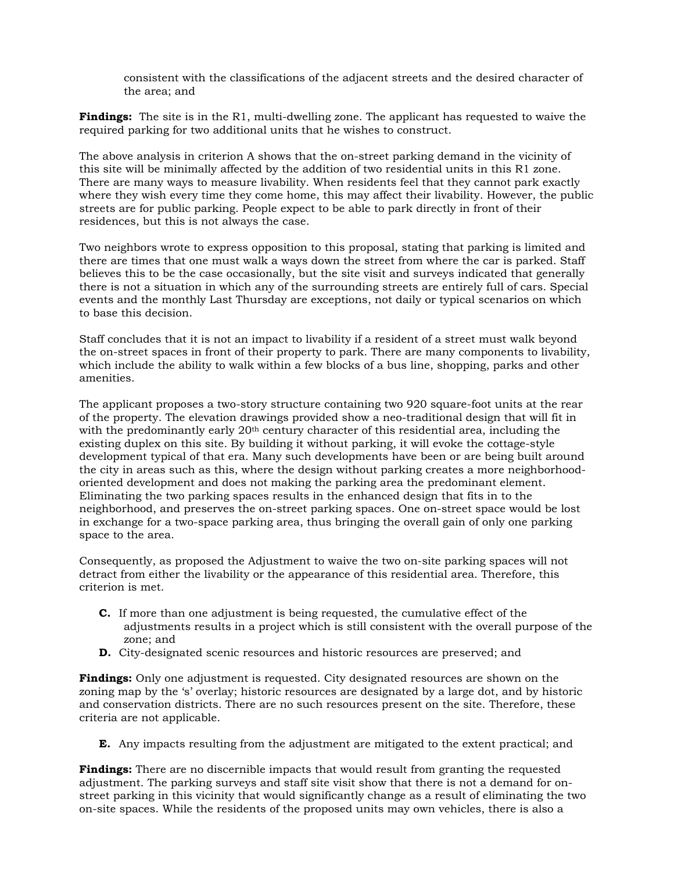consistent with the classifications of the adjacent streets and the desired character of the area; and

**Findings:** The site is in the R1, multi-dwelling zone. The applicant has requested to waive the required parking for two additional units that he wishes to construct.

The above analysis in criterion A shows that the on-street parking demand in the vicinity of this site will be minimally affected by the addition of two residential units in this R1 zone. There are many ways to measure livability. When residents feel that they cannot park exactly where they wish every time they come home, this may affect their livability. However, the public streets are for public parking. People expect to be able to park directly in front of their residences, but this is not always the case.

Two neighbors wrote to express opposition to this proposal, stating that parking is limited and there are times that one must walk a ways down the street from where the car is parked. Staff believes this to be the case occasionally, but the site visit and surveys indicated that generally there is not a situation in which any of the surrounding streets are entirely full of cars. Special events and the monthly Last Thursday are exceptions, not daily or typical scenarios on which to base this decision.

Staff concludes that it is not an impact to livability if a resident of a street must walk beyond the on-street spaces in front of their property to park. There are many components to livability, which include the ability to walk within a few blocks of a bus line, shopping, parks and other amenities.

The applicant proposes a two-story structure containing two 920 square-foot units at the rear of the property. The elevation drawings provided show a neo-traditional design that will fit in with the predominantly early  $20<sup>th</sup>$  century character of this residential area, including the existing duplex on this site. By building it without parking, it will evoke the cottage-style development typical of that era. Many such developments have been or are being built around the city in areas such as this, where the design without parking creates a more neighborhoodoriented development and does not making the parking area the predominant element. Eliminating the two parking spaces results in the enhanced design that fits in to the neighborhood, and preserves the on-street parking spaces. One on-street space would be lost in exchange for a two-space parking area, thus bringing the overall gain of only one parking space to the area.

Consequently, as proposed the Adjustment to waive the two on-site parking spaces will not detract from either the livability or the appearance of this residential area. Therefore, this criterion is met.

- **C.** If more than one adjustment is being requested, the cumulative effect of the adjustments results in a project which is still consistent with the overall purpose of the zone; and
- **D.** City-designated scenic resources and historic resources are preserved; and

**Findings:** Only one adjustment is requested. City designated resources are shown on the zoning map by the 's' overlay; historic resources are designated by a large dot, and by historic and conservation districts. There are no such resources present on the site. Therefore, these criteria are not applicable.

**E.** Any impacts resulting from the adjustment are mitigated to the extent practical; and

**Findings:** There are no discernible impacts that would result from granting the requested adjustment. The parking surveys and staff site visit show that there is not a demand for onstreet parking in this vicinity that would significantly change as a result of eliminating the two on-site spaces. While the residents of the proposed units may own vehicles, there is also a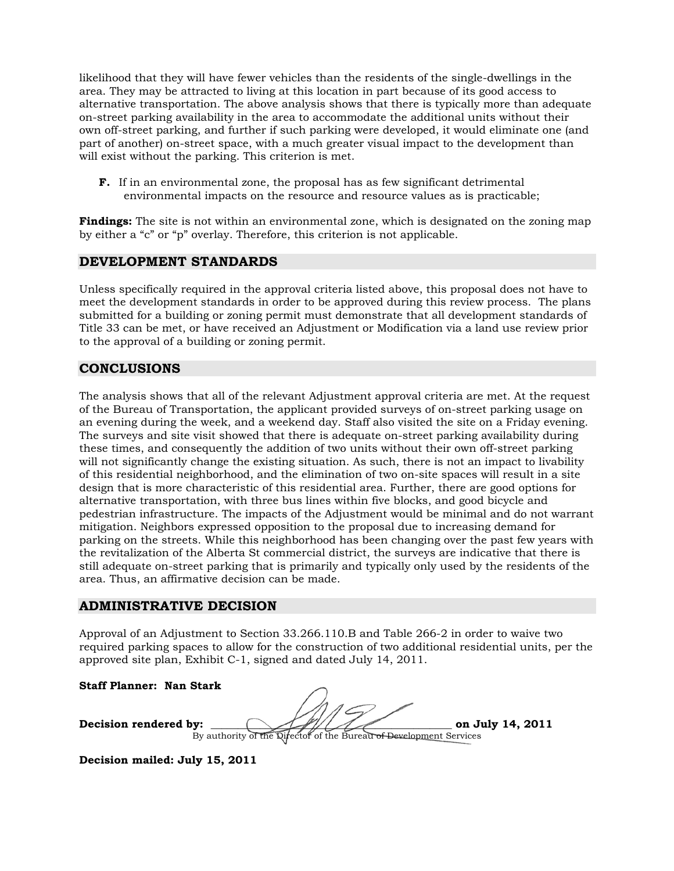likelihood that they will have fewer vehicles than the residents of the single-dwellings in the area. They may be attracted to living at this location in part because of its good access to alternative transportation. The above analysis shows that there is typically more than adequate on-street parking availability in the area to accommodate the additional units without their own off-street parking, and further if such parking were developed, it would eliminate one (and part of another) on-street space, with a much greater visual impact to the development than will exist without the parking. This criterion is met.

**F.** If in an environmental zone, the proposal has as few significant detrimental environmental impacts on the resource and resource values as is practicable;

**Findings:** The site is not within an environmental zone, which is designated on the zoning map by either a "c" or "p" overlay. Therefore, this criterion is not applicable.

#### **DEVELOPMENT STANDARDS**

Unless specifically required in the approval criteria listed above, this proposal does not have to meet the development standards in order to be approved during this review process. The plans submitted for a building or zoning permit must demonstrate that all development standards of Title 33 can be met, or have received an Adjustment or Modification via a land use review prior to the approval of a building or zoning permit.

### **CONCLUSIONS**

The analysis shows that all of the relevant Adjustment approval criteria are met. At the request of the Bureau of Transportation, the applicant provided surveys of on-street parking usage on an evening during the week, and a weekend day. Staff also visited the site on a Friday evening. The surveys and site visit showed that there is adequate on-street parking availability during these times, and consequently the addition of two units without their own off-street parking will not significantly change the existing situation. As such, there is not an impact to livability of this residential neighborhood, and the elimination of two on-site spaces will result in a site design that is more characteristic of this residential area. Further, there are good options for alternative transportation, with three bus lines within five blocks, and good bicycle and pedestrian infrastructure. The impacts of the Adjustment would be minimal and do not warrant mitigation. Neighbors expressed opposition to the proposal due to increasing demand for parking on the streets. While this neighborhood has been changing over the past few years with the revitalization of the Alberta St commercial district, the surveys are indicative that there is still adequate on-street parking that is primarily and typically only used by the residents of the area. Thus, an affirmative decision can be made.

#### **ADMINISTRATIVE DECISION**

Approval of an Adjustment to Section 33.266.110.B and Table 266-2 in order to waive two required parking spaces to allow for the construction of two additional residential units, per the approved site plan, Exhibit C-1, signed and dated July 14, 2011.

**Staff Planner: Nan Stark** 

**Decision rendered by:**  $\frac{1}{2}$  **on July 14, 2011** 

By authority of the Director of the Bureau of Development Services

**Decision mailed: July 15, 2011**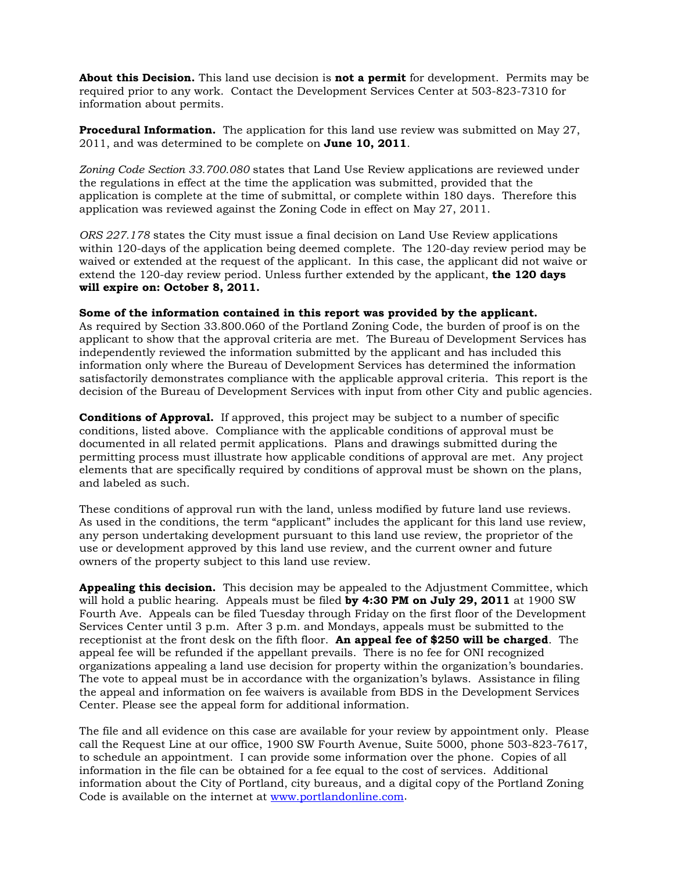**About this Decision.** This land use decision is **not a permit** for development. Permits may be required prior to any work. Contact the Development Services Center at 503-823-7310 for information about permits.

**Procedural Information.** The application for this land use review was submitted on May 27, 2011, and was determined to be complete on **June 10, 2011**.

*Zoning Code Section 33.700.080* states that Land Use Review applications are reviewed under the regulations in effect at the time the application was submitted, provided that the application is complete at the time of submittal, or complete within 180 days. Therefore this application was reviewed against the Zoning Code in effect on May 27, 2011.

*ORS 227.178* states the City must issue a final decision on Land Use Review applications within 120-days of the application being deemed complete. The 120-day review period may be waived or extended at the request of the applicant. In this case, the applicant did not waive or extend the 120-day review period. Unless further extended by the applicant, **the 120 days will expire on: October 8, 2011.**

#### **Some of the information contained in this report was provided by the applicant.**

As required by Section 33.800.060 of the Portland Zoning Code, the burden of proof is on the applicant to show that the approval criteria are met. The Bureau of Development Services has independently reviewed the information submitted by the applicant and has included this information only where the Bureau of Development Services has determined the information satisfactorily demonstrates compliance with the applicable approval criteria. This report is the decision of the Bureau of Development Services with input from other City and public agencies.

**Conditions of Approval.** If approved, this project may be subject to a number of specific conditions, listed above. Compliance with the applicable conditions of approval must be documented in all related permit applications. Plans and drawings submitted during the permitting process must illustrate how applicable conditions of approval are met. Any project elements that are specifically required by conditions of approval must be shown on the plans, and labeled as such.

These conditions of approval run with the land, unless modified by future land use reviews. As used in the conditions, the term "applicant" includes the applicant for this land use review, any person undertaking development pursuant to this land use review, the proprietor of the use or development approved by this land use review, and the current owner and future owners of the property subject to this land use review.

**Appealing this decision.** This decision may be appealed to the Adjustment Committee, which will hold a public hearing. Appeals must be filed **by 4:30 PM on July 29, 2011** at 1900 SW Fourth Ave. Appeals can be filed Tuesday through Friday on the first floor of the Development Services Center until 3 p.m. After 3 p.m. and Mondays, appeals must be submitted to the receptionist at the front desk on the fifth floor. **An appeal fee of \$250 will be charged**. The appeal fee will be refunded if the appellant prevails. There is no fee for ONI recognized organizations appealing a land use decision for property within the organization's boundaries. The vote to appeal must be in accordance with the organization's bylaws. Assistance in filing the appeal and information on fee waivers is available from BDS in the Development Services Center. Please see the appeal form for additional information.

The file and all evidence on this case are available for your review by appointment only. Please call the Request Line at our office, 1900 SW Fourth Avenue, Suite 5000, phone 503-823-7617, to schedule an appointment. I can provide some information over the phone. Copies of all information in the file can be obtained for a fee equal to the cost of services. Additional information about the City of Portland, city bureaus, and a digital copy of the Portland Zoning Code is available on the internet at [www.portlandonline.com](http://www.ci.portland.or.us/).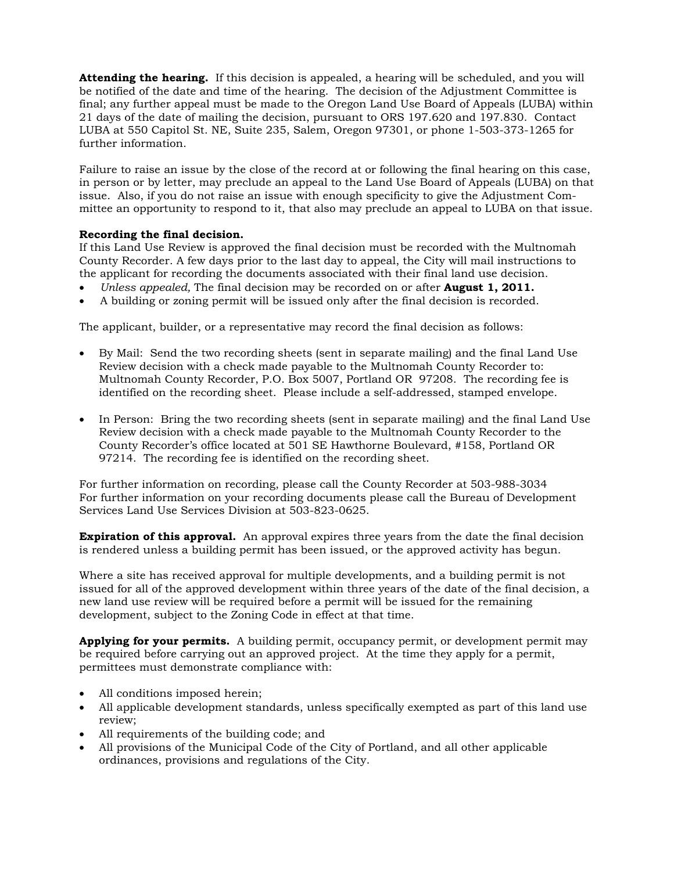**Attending the hearing.** If this decision is appealed, a hearing will be scheduled, and you will be notified of the date and time of the hearing. The decision of the Adjustment Committee is final; any further appeal must be made to the Oregon Land Use Board of Appeals (LUBA) within 21 days of the date of mailing the decision, pursuant to ORS 197.620 and 197.830. Contact LUBA at 550 Capitol St. NE, Suite 235, Salem, Oregon 97301, or phone 1-503-373-1265 for further information.

Failure to raise an issue by the close of the record at or following the final hearing on this case, in person or by letter, may preclude an appeal to the Land Use Board of Appeals (LUBA) on that issue. Also, if you do not raise an issue with enough specificity to give the Adjustment Committee an opportunity to respond to it, that also may preclude an appeal to LUBA on that issue.

#### **Recording the final decision.**

If this Land Use Review is approved the final decision must be recorded with the Multnomah County Recorder. A few days prior to the last day to appeal, the City will mail instructions to the applicant for recording the documents associated with their final land use decision.

- *Unless appealed,* The final decision may be recorded on or after **August 1, 2011.**
- A building or zoning permit will be issued only after the final decision is recorded.

The applicant, builder, or a representative may record the final decision as follows:

- By Mail: Send the two recording sheets (sent in separate mailing) and the final Land Use Review decision with a check made payable to the Multnomah County Recorder to: Multnomah County Recorder, P.O. Box 5007, Portland OR 97208. The recording fee is identified on the recording sheet. Please include a self-addressed, stamped envelope.
- In Person: Bring the two recording sheets (sent in separate mailing) and the final Land Use Review decision with a check made payable to the Multnomah County Recorder to the County Recorder's office located at 501 SE Hawthorne Boulevard, #158, Portland OR 97214. The recording fee is identified on the recording sheet.

For further information on recording, please call the County Recorder at 503-988-3034 For further information on your recording documents please call the Bureau of Development Services Land Use Services Division at 503-823-0625.

**Expiration of this approval.** An approval expires three years from the date the final decision is rendered unless a building permit has been issued, or the approved activity has begun.

Where a site has received approval for multiple developments, and a building permit is not issued for all of the approved development within three years of the date of the final decision, a new land use review will be required before a permit will be issued for the remaining development, subject to the Zoning Code in effect at that time.

**Applying for your permits.** A building permit, occupancy permit, or development permit may be required before carrying out an approved project. At the time they apply for a permit, permittees must demonstrate compliance with:

- All conditions imposed herein;
- All applicable development standards, unless specifically exempted as part of this land use review;
- All requirements of the building code; and
- All provisions of the Municipal Code of the City of Portland, and all other applicable ordinances, provisions and regulations of the City.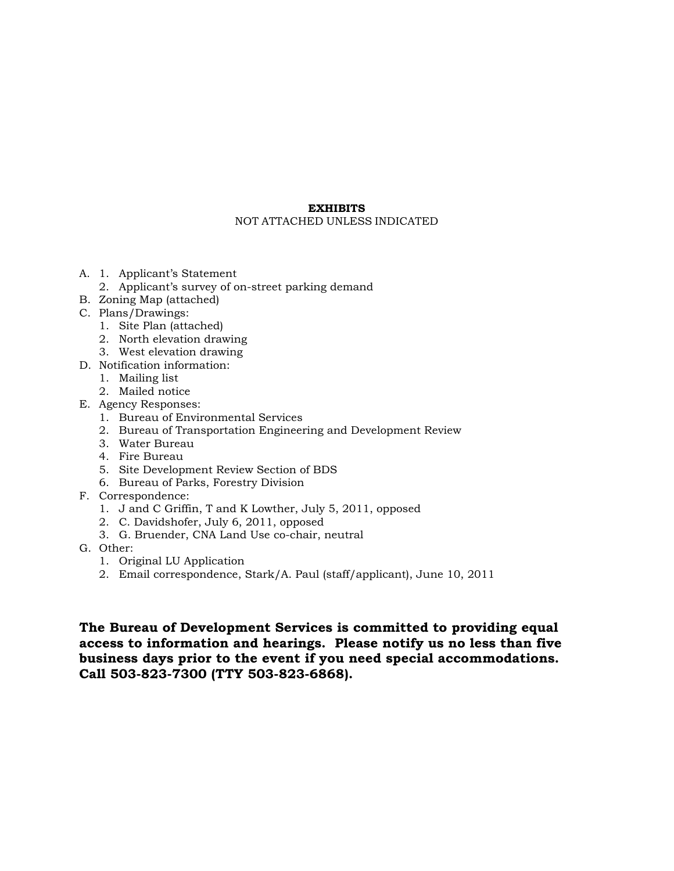#### **EXHIBITS**  NOT ATTACHED UNLESS INDICATED

- A. 1. Applicant's Statement
	- 2. Applicant's survey of on-street parking demand
- B. Zoning Map (attached)
- C. Plans/Drawings:
	- 1. Site Plan (attached)
	- 2. North elevation drawing
	- 3. West elevation drawing
- D. Notification information:
	- 1. Mailing list
	- 2. Mailed notice
- E. Agency Responses:
	- 1. Bureau of Environmental Services
	- 2. Bureau of Transportation Engineering and Development Review
	- 3. Water Bureau
	- 4. Fire Bureau
	- 5. Site Development Review Section of BDS
	- 6. Bureau of Parks, Forestry Division
- F. Correspondence:
	- 1. J and C Griffin, T and K Lowther, July 5, 2011, opposed
	- 2. C. Davidshofer, July 6, 2011, opposed
	- 3. G. Bruender, CNA Land Use co-chair, neutral
- G. Other:
	- 1. Original LU Application
	- 2. Email correspondence, Stark/A. Paul (staff/applicant), June 10, 2011

**The Bureau of Development Services is committed to providing equal access to information and hearings. Please notify us no less than five business days prior to the event if you need special accommodations. Call 503-823-7300 (TTY 503-823-6868).**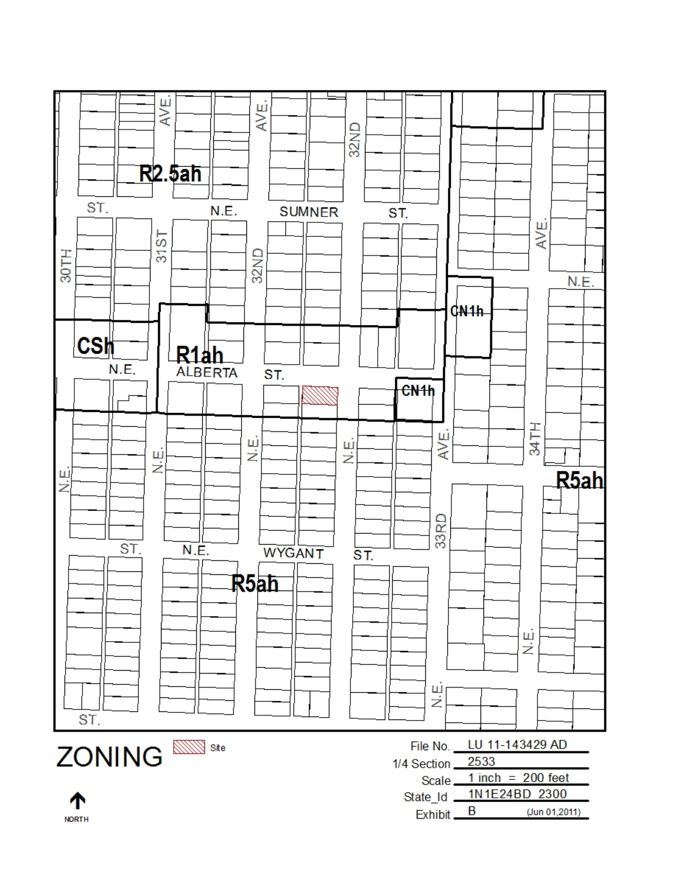